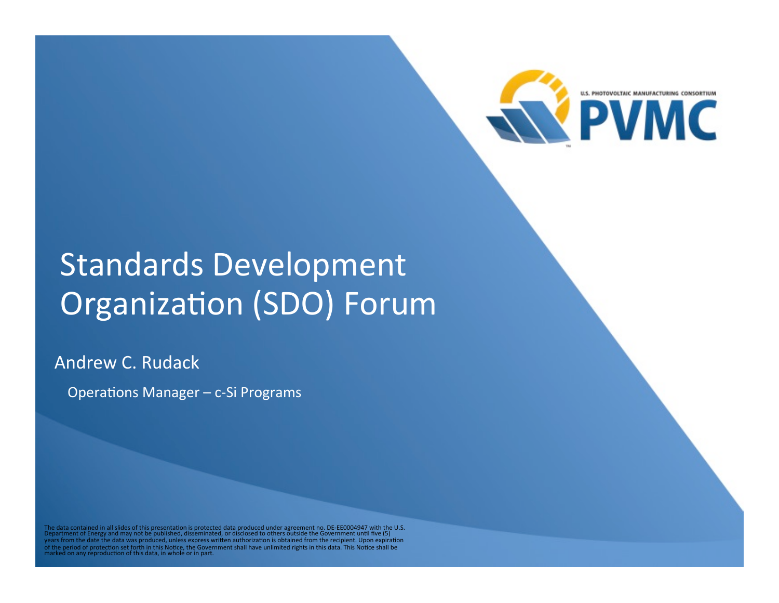

# Standards Development Organization (SDO) Forum

Andrew C. Rudack

Operations Manager - c-Si Programs

The data contained in all slides of this presentation is protected data produced under agreement no. DE-EE0004947 with the U.S.<br>Department of Energy and may not be published, disseminated, or disclosed to others outside th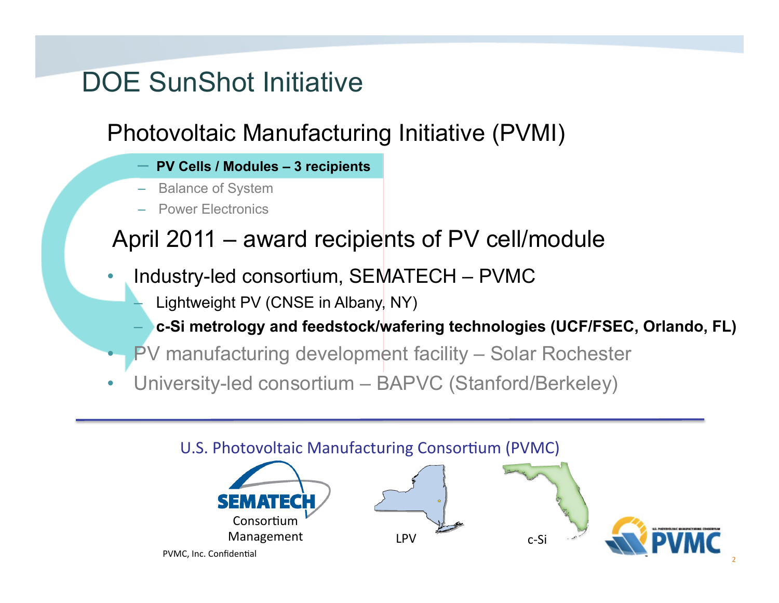### DOE SunShot Initiative

#### Photovoltaic Manufacturing Initiative (PVMI)

- **PV Cells / Modules 3 recipients**
- Balance of System
- Power Electronics

#### April 2011 – award recipients of PV cell/module

- Industry-led consortium, SEMATECH PVMC
	- Lightweight PV (CNSE in Albany, NY)
	- **c-Si metrology and feedstock/wafering technologies (UCF/FSEC, Orlando, FL)**
- PV manufacturing development facility Solar Rochester
- University-led consortium BAPVC (Stanford/Berkeley)

### PVMC, Inc. Confidential Consortium Management LPV C-Si U.S. Photovoltaic Manufacturing Consortium (PVMC)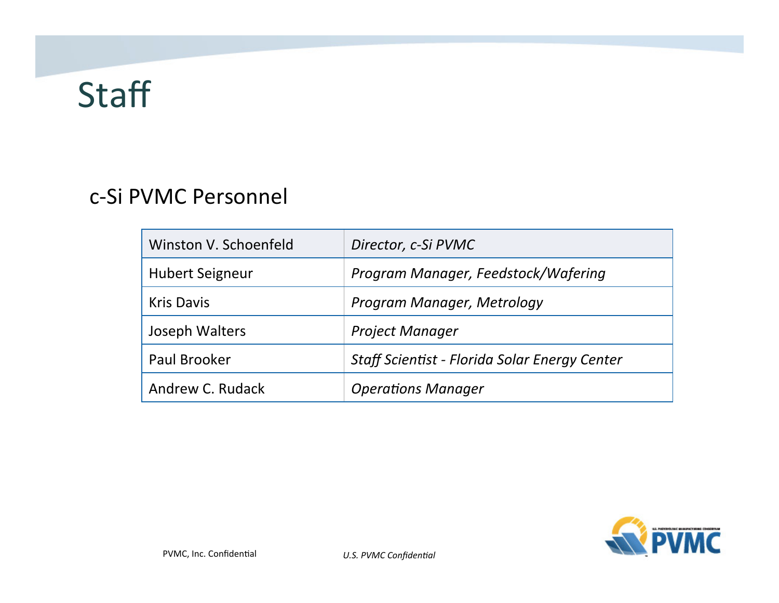# **Staff**

#### c-Si PVMC Personnel

| Winston V. Schoenfeld  | Director, c-Si PVMC                           |
|------------------------|-----------------------------------------------|
| <b>Hubert Seigneur</b> | Program Manager, Feedstock/Wafering           |
| <b>Kris Davis</b>      | Program Manager, Metrology                    |
| Joseph Walters         | <b>Project Manager</b>                        |
| Paul Brooker           | Staff Scientist - Florida Solar Energy Center |
| Andrew C. Rudack       | <b>Operations Manager</b>                     |

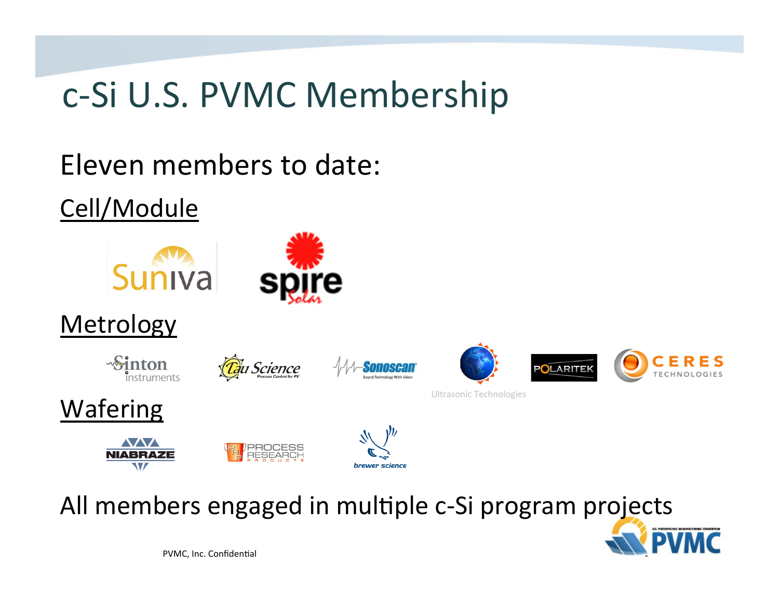# c-Si U.S. PVMC Membership

Eleven members to date:

Cell/Module



Metrology 

Sinton







**Wafering** 







All members engaged in multiple c-Si program projects

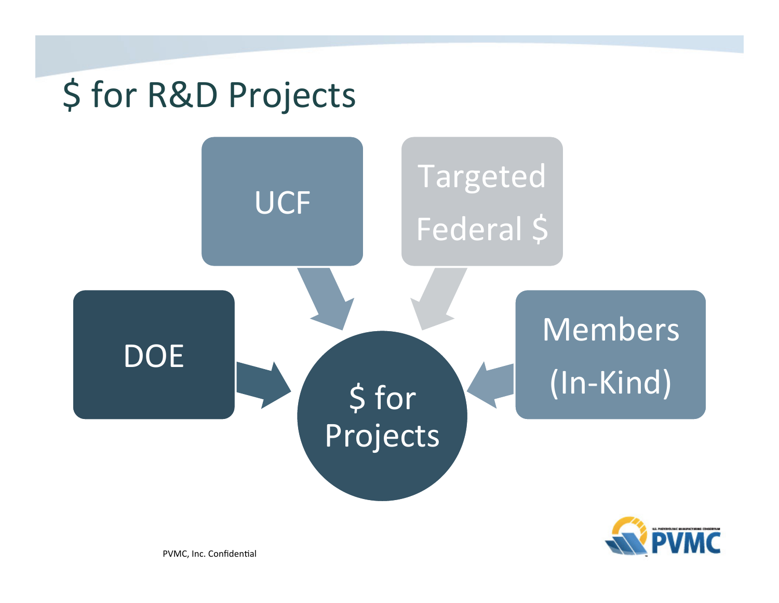

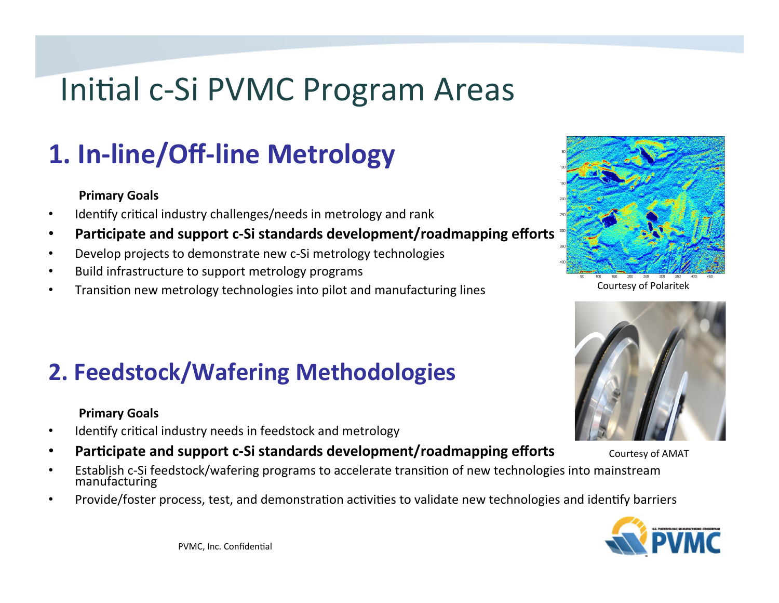# Initial c-Si PVMC Program Areas

## **1. In-line/Off-line Metrology**

#### **Primary Goals**

- Identify critical industry challenges/needs in metrology and rank
- Participate and support c-Si standards development/roadmapping efforts
- Develop projects to demonstrate new c-Si metrology technologies
- Build infrastructure to support metrology programs
- Transition new metrology technologies into pilot and manufacturing lines



Courtesy of Polaritek



Courtesy of AMAT 

#### **2. Feedstock/Wafering Methodologies**

#### **Primary Goals**

- Identify critical industry needs in feedstock and metrology
- Participate and support c-Si standards development/roadmapping efforts
- Establish c-Si feedstock/wafering programs to accelerate transition of new technologies into mainstream manufacturing
- Provide/foster process, test, and demonstration activities to validate new technologies and identify barriers

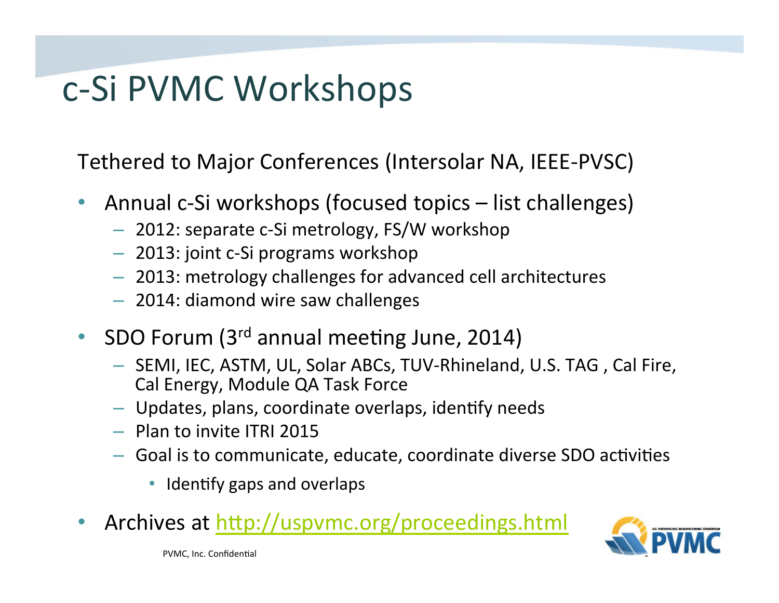# c-Si PVMC Workshops

Tethered to Major Conferences (Intersolar NA, IEEE-PVSC)

- Annual c-Si workshops (focused topics list challenges)
	- 2012: separate c-Si metrology, FS/W workshop
	- 2013: joint c-Si programs workshop
	- 2013: metrology challenges for advanced cell architectures
	- 2014: diamond wire saw challenges
- SDO Forum  $(3<sup>rd</sup>$  annual meeting June, 2014)
	- $-$  SEMI, IEC, ASTM, UL, Solar ABCs, TUV-Rhineland, U.S. TAG, Cal Fire, Cal Energy, Module QA Task Force
	- $-$  Updates, plans, coordinate overlaps, identify needs
	- $-$  Plan to invite ITRI 2015
	- $-$  Goal is to communicate, educate, coordinate diverse SDO activities
		- Identify gaps and overlaps
- Archives at http://uspvmc.org/proceedings.html

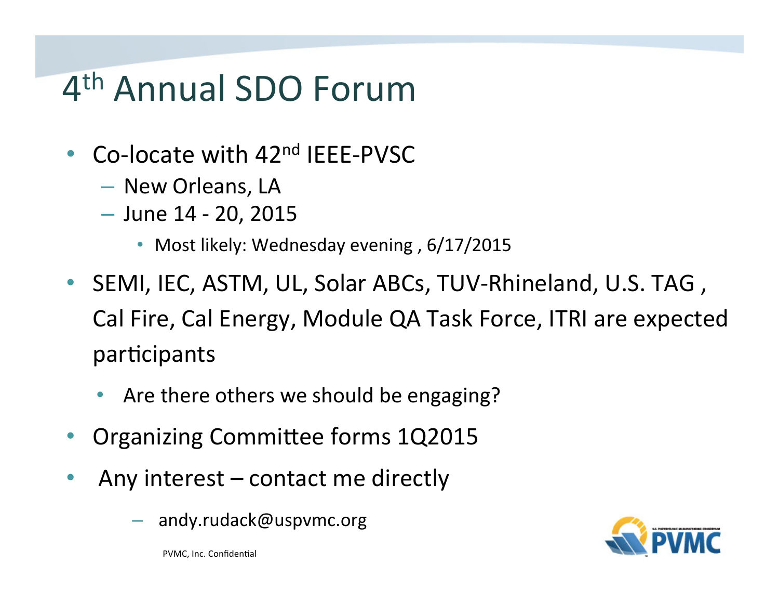# 4<sup>th</sup> Annual SDO Forum

- Co-locate with  $42<sup>nd</sup>$  IEEE-PVSC
	- New Orleans, LA
	- $-$  June 14 20, 2015
		- Most likely: Wednesday evening, 6/17/2015
- SEMI, IEC, ASTM, UL, Solar ABCs, TUV-Rhineland, U.S. TAG, Cal Fire, Cal Energy, Module QA Task Force, ITRI are expected participants
	- Are there others we should be engaging?
- Organizing Committee forms 1Q2015
- Any interest contact me directly
	- andy.rudack@uspvmc.org